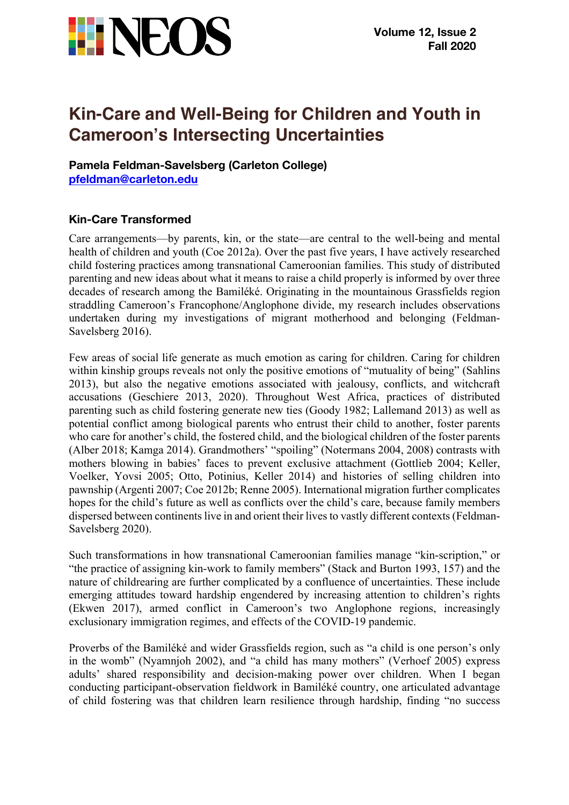

# **Kin-Care and Well-Being for Children and Youth in Cameroon's Intersecting Uncertainties**

**Pamela Feldman-Savelsberg (Carleton College) pfeldman@carleton.edu**

## **Kin-Care Transformed**

Care arrangements—by parents, kin, or the state—are central to the well-being and mental health of children and youth (Coe 2012a). Over the past five years, I have actively researched child fostering practices among transnational Cameroonian families. This study of distributed parenting and new ideas about what it means to raise a child properly is informed by over three decades of research among the Bamiléké. Originating in the mountainous Grassfields region straddling Cameroon's Francophone/Anglophone divide, my research includes observations undertaken during my investigations of migrant motherhood and belonging (Feldman-Savelsberg 2016).

Few areas of social life generate as much emotion as caring for children. Caring for children within kinship groups reveals not only the positive emotions of "mutuality of being" (Sahlins 2013), but also the negative emotions associated with jealousy, conflicts, and witchcraft accusations (Geschiere 2013, 2020). Throughout West Africa, practices of distributed parenting such as child fostering generate new ties (Goody 1982; Lallemand 2013) as well as potential conflict among biological parents who entrust their child to another, foster parents who care for another's child, the fostered child, and the biological children of the foster parents (Alber 2018; Kamga 2014). Grandmothers' "spoiling" (Notermans 2004, 2008) contrasts with mothers blowing in babies' faces to prevent exclusive attachment (Gottlieb 2004; Keller, Voelker, Yovsi 2005; Otto, Potinius, Keller 2014) and histories of selling children into pawnship (Argenti 2007; Coe 2012b; Renne 2005). International migration further complicates hopes for the child's future as well as conflicts over the child's care, because family members dispersed between continents live in and orient their lives to vastly different contexts (Feldman-Savelsberg 2020).

Such transformations in how transnational Cameroonian families manage "kin-scription," or "the practice of assigning kin-work to family members" (Stack and Burton 1993, 157) and the nature of childrearing are further complicated by a confluence of uncertainties. These include emerging attitudes toward hardship engendered by increasing attention to children's rights (Ekwen 2017), armed conflict in Cameroon's two Anglophone regions, increasingly exclusionary immigration regimes, and effects of the COVID-19 pandemic.

Proverbs of the Bamiléké and wider Grassfields region, such as "a child is one person's only in the womb" (Nyamnjoh 2002), and "a child has many mothers" (Verhoef 2005) express adults' shared responsibility and decision-making power over children. When I began conducting participant-observation fieldwork in Bamiléké country, one articulated advantage of child fostering was that children learn resilience through hardship, finding "no success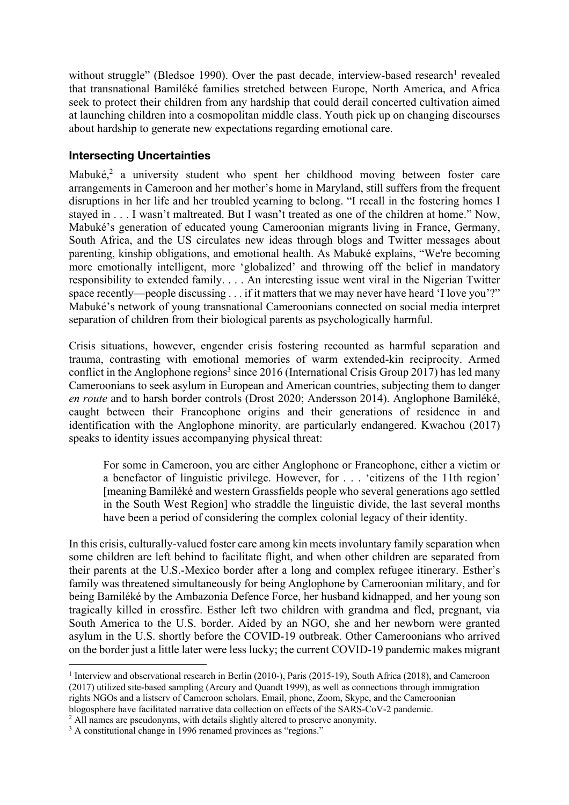without struggle" (Bledsoe 1990). Over the past decade, interview-based research<sup>1</sup> revealed that transnational Bamiléké families stretched between Europe, North America, and Africa seek to protect their children from any hardship that could derail concerted cultivation aimed at launching children into a cosmopolitan middle class. Youth pick up on changing discourses about hardship to generate new expectations regarding emotional care.

## **Intersecting Uncertainties**

Mabuké,<sup>2</sup> a university student who spent her childhood moving between foster care arrangements in Cameroon and her mother's home in Maryland, still suffers from the frequent disruptions in her life and her troubled yearning to belong. "I recall in the fostering homes I stayed in . . . I wasn't maltreated. But I wasn't treated as one of the children at home." Now, Mabuké's generation of educated young Cameroonian migrants living in France, Germany, South Africa, and the US circulates new ideas through blogs and Twitter messages about parenting, kinship obligations, and emotional health. As Mabuké explains, "We're becoming more emotionally intelligent, more 'globalized' and throwing off the belief in mandatory responsibility to extended family. . . . An interesting issue went viral in the Nigerian Twitter space recently—people discussing . . . if it matters that we may never have heard 'I love you'?" Mabuké's network of young transnational Cameroonians connected on social media interpret separation of children from their biological parents as psychologically harmful.

Crisis situations, however, engender crisis fostering recounted as harmful separation and trauma, contrasting with emotional memories of warm extended-kin reciprocity. Armed conflict in the Anglophone regions<sup>3</sup> since 2016 (International Crisis Group 2017) has led many Cameroonians to seek asylum in European and American countries, subjecting them to danger *en route* and to harsh border controls (Drost 2020; Andersson 2014). Anglophone Bamiléké, caught between their Francophone origins and their generations of residence in and identification with the Anglophone minority, are particularly endangered. Kwachou (2017) speaks to identity issues accompanying physical threat:

For some in Cameroon, you are either Anglophone or Francophone, either a victim or a benefactor of linguistic privilege. However, for . . . 'citizens of the 11th region' [meaning Bamiléké and western Grassfields people who several generations ago settled in the South West Region] who straddle the linguistic divide, the last several months have been a period of considering the complex colonial legacy of their identity.

In this crisis, culturally-valued foster care among kin meets involuntary family separation when some children are left behind to facilitate flight, and when other children are separated from their parents at the U.S.-Mexico border after a long and complex refugee itinerary. Esther's family was threatened simultaneously for being Anglophone by Cameroonian military, and for being Bamiléké by the Ambazonia Defence Force, her husband kidnapped, and her young son tragically killed in crossfire. Esther left two children with grandma and fled, pregnant, via South America to the U.S. border. Aided by an NGO, she and her newborn were granted asylum in the U.S. shortly before the COVID-19 outbreak. Other Cameroonians who arrived on the border just a little later were less lucky; the current COVID-19 pandemic makes migrant

<sup>1</sup> Interview and observational research in Berlin (2010-), Paris (2015-19), South Africa (2018), and Cameroon (2017) utilized site-based sampling (Arcury and Quandt 1999), as well as connections through immigration rights NGOs and a listserv of Cameroon scholars. Email, phone, Zoom, Skype, and the Cameroonian blogosphere have facilitated narrative data collection on effects of the SARS-CoV-2 pandemic.

<sup>&</sup>lt;sup>2</sup> All names are pseudonyms, with details slightly altered to preserve anonymity.

<sup>&</sup>lt;sup>3</sup> A constitutional change in 1996 renamed provinces as "regions."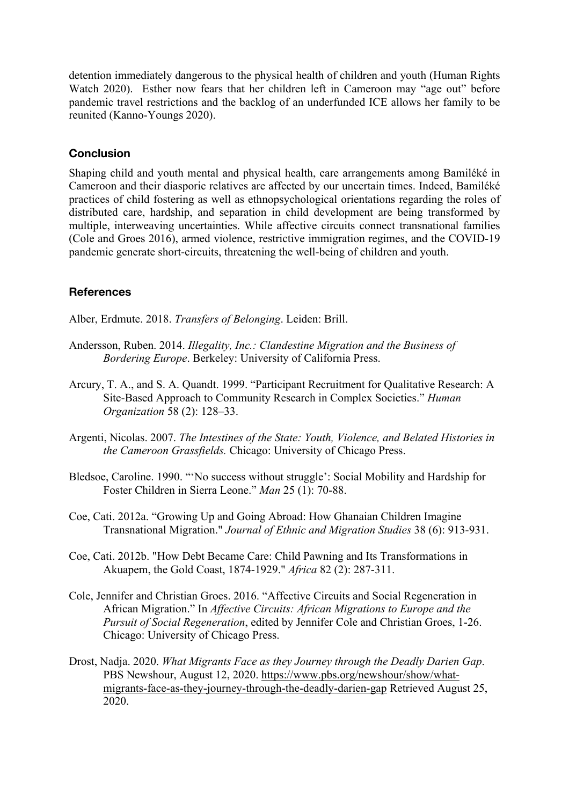detention immediately dangerous to the physical health of children and youth (Human Rights Watch 2020). Esther now fears that her children left in Cameroon may "age out" before pandemic travel restrictions and the backlog of an underfunded ICE allows her family to be reunited (Kanno-Youngs 2020).

#### **Conclusion**

Shaping child and youth mental and physical health, care arrangements among Bamiléké in Cameroon and their diasporic relatives are affected by our uncertain times. Indeed, Bamiléké practices of child fostering as well as ethnopsychological orientations regarding the roles of distributed care, hardship, and separation in child development are being transformed by multiple, interweaving uncertainties. While affective circuits connect transnational families (Cole and Groes 2016), armed violence, restrictive immigration regimes, and the COVID-19 pandemic generate short-circuits, threatening the well-being of children and youth.

### **References**

Alber, Erdmute. 2018. *Transfers of Belonging*. Leiden: Brill.

- Andersson, Ruben. 2014. *Illegality, Inc.: Clandestine Migration and the Business of Bordering Europe*. Berkeley: University of California Press.
- Arcury, T. A., and S. A. Quandt. 1999. "Participant Recruitment for Qualitative Research: A Site-Based Approach to Community Research in Complex Societies." *Human Organization* 58 (2): 128–33.
- Argenti, Nicolas. 2007. *The Intestines of the State: Youth, Violence, and Belated Histories in the Cameroon Grassfields.* Chicago: University of Chicago Press.
- Bledsoe, Caroline. 1990. "'No success without struggle': Social Mobility and Hardship for Foster Children in Sierra Leone." *Man* 25 (1): 70-88.
- Coe, Cati. 2012a. "Growing Up and Going Abroad: How Ghanaian Children Imagine Transnational Migration." *Journal of Ethnic and Migration Studies* 38 (6): 913-931.
- Coe, Cati. 2012b. "How Debt Became Care: Child Pawning and Its Transformations in Akuapem, the Gold Coast, 1874-1929." *Africa* 82 (2): 287-311.
- Cole, Jennifer and Christian Groes. 2016. "Affective Circuits and Social Regeneration in African Migration." In *Affective Circuits: African Migrations to Europe and the Pursuit of Social Regeneration*, edited by Jennifer Cole and Christian Groes, 1-26. Chicago: University of Chicago Press.
- Drost, Nadja. 2020. *What Migrants Face as they Journey through the Deadly Darien Gap*. PBS Newshour, August 12, 2020. https://www.pbs.org/newshour/show/whatmigrants-face-as-they-journey-through-the-deadly-darien-gap Retrieved August 25, 2020.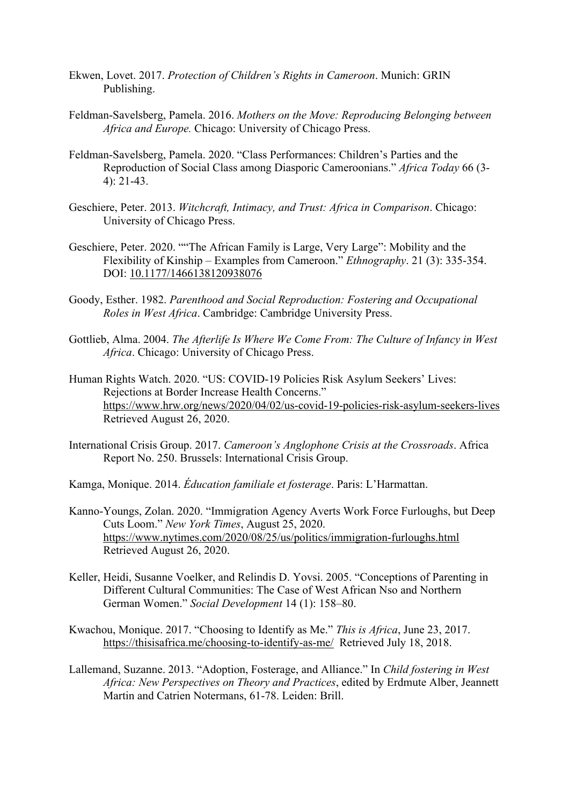- Ekwen, Lovet. 2017. *Protection of Children's Rights in Cameroon*. Munich: GRIN Publishing.
- Feldman-Savelsberg, Pamela. 2016. *Mothers on the Move: Reproducing Belonging between Africa and Europe.* Chicago: University of Chicago Press.
- Feldman-Savelsberg, Pamela. 2020. "Class Performances: Children's Parties and the Reproduction of Social Class among Diasporic Cameroonians." *Africa Today* 66 (3- 4): 21-43.
- Geschiere, Peter. 2013. *Witchcraft, Intimacy, and Trust: Africa in Comparison*. Chicago: University of Chicago Press.
- Geschiere, Peter. 2020. ""The African Family is Large, Very Large": Mobility and the Flexibility of Kinship – Examples from Cameroon." *Ethnography*. 21 (3): 335-354. DOI: 10.1177/1466138120938076
- Goody, Esther. 1982. *Parenthood and Social Reproduction: Fostering and Occupational Roles in West Africa*. Cambridge: Cambridge University Press.
- Gottlieb, Alma. 2004. *The Afterlife Is Where We Come From: The Culture of Infancy in West Africa*. Chicago: University of Chicago Press.
- Human Rights Watch. 2020. "US: COVID-19 Policies Risk Asylum Seekers' Lives: Rejections at Border Increase Health Concerns." https://www.hrw.org/news/2020/04/02/us-covid-19-policies-risk-asylum-seekers-lives Retrieved August 26, 2020.
- International Crisis Group. 2017. *Cameroon's Anglophone Crisis at the Crossroads*. Africa Report No. 250. Brussels: International Crisis Group.

Kamga, Monique. 2014. *Éducation familiale et fosterage*. Paris: L'Harmattan.

- Kanno-Youngs, Zolan. 2020. "Immigration Agency Averts Work Force Furloughs, but Deep Cuts Loom." *New York Times*, August 25, 2020. https://www.nytimes.com/2020/08/25/us/politics/immigration-furloughs.html Retrieved August 26, 2020.
- Keller, Heidi, Susanne Voelker, and Relindis D. Yovsi. 2005. "Conceptions of Parenting in Different Cultural Communities: The Case of West African Nso and Northern German Women." *Social Development* 14 (1): 158–80.
- Kwachou, Monique. 2017. "Choosing to Identify as Me." *This is Africa*, June 23, 2017. https://thisisafrica.me/choosing-to-identify-as-me/ Retrieved July 18, 2018.
- Lallemand, Suzanne. 2013. "Adoption, Fosterage, and Alliance." In *Child fostering in West Africa: New Perspectives on Theory and Practices*, edited by Erdmute Alber, Jeannett Martin and Catrien Notermans, 61-78. Leiden: Brill.